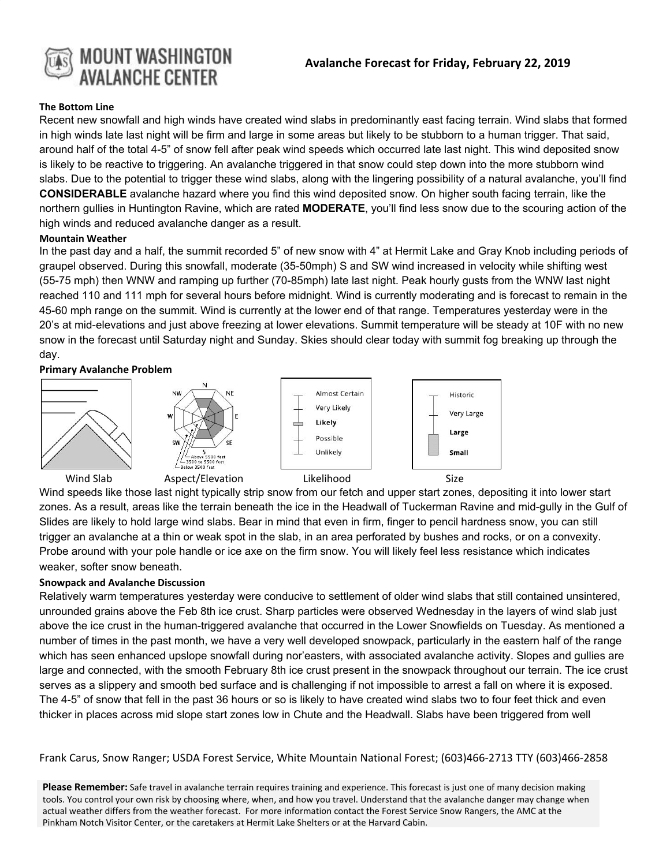

#### **The Bottom Line**

Recent new snowfall and high winds have created wind slabs in predominantly east facing terrain. Wind slabs that formed in high winds late last night will be firm and large in some areas but likely to be stubborn to a human trigger. That said, around half of the total 4-5" of snow fell after peak wind speeds which occurred late last night. This wind deposited snow is likely to be reactive to triggering. An avalanche triggered in that snow could step down into the more stubborn wind slabs. Due to the potential to trigger these wind slabs, along with the lingering possibility of a natural avalanche, you'll find **CONSIDERABLE** avalanche hazard where you find this wind deposited snow. On higher south facing terrain, like the northern gullies in Huntington Ravine, which are rated **MODERATE**, you'll find less snow due to the scouring action of the high winds and reduced avalanche danger as a result.

### **Mountain Weather**

In the past day and a half, the summit recorded 5" of new snow with 4" at Hermit Lake and Gray Knob including periods of graupel observed. During this snowfall, moderate (35-50mph) S and SW wind increased in velocity while shifting west (55-75 mph) then WNW and ramping up further (70-85mph) late last night. Peak hourly gusts from the WNW last night reached 110 and 111 mph for several hours before midnight. Wind is currently moderating and is forecast to remain in the 45-60 mph range on the summit. Wind is currently at the lower end of that range. Temperatures yesterday were in the 20's at mid-elevations and just above freezing at lower elevations. Summit temperature will be steady at 10F with no new snow in the forecast until Saturday night and Sunday. Skies should clear today with summit fog breaking up through the day.

### **Primary Avalanche Problem**



Wind speeds like those last night typically strip snow from our fetch and upper start zones, depositing it into lower start zones. As a result, areas like the terrain beneath the ice in the Headwall of Tuckerman Ravine and mid-gully in the Gulf of Slides are likely to hold large wind slabs. Bear in mind that even in firm, finger to pencil hardness snow, you can still trigger an avalanche at a thin or weak spot in the slab, in an area perforated by bushes and rocks, or on a convexity. Probe around with your pole handle or ice axe on the firm snow. You will likely feel less resistance which indicates weaker, softer snow beneath.

## **Snowpack and Avalanche Discussion**

Relatively warm temperatures yesterday were conducive to settlement of older wind slabs that still contained unsintered, unrounded grains above the Feb 8th ice crust. Sharp particles were observed Wednesday in the layers of wind slab just above the ice crust in the human-triggered avalanche that occurred in the Lower Snowfields on Tuesday. As mentioned a number of times in the past month, we have a very well developed snowpack, particularly in the eastern half of the range which has seen enhanced upslope snowfall during nor'easters, with associated avalanche activity. Slopes and gullies are large and connected, with the smooth February 8th ice crust present in the snowpack throughout our terrain. The ice crust serves as a slippery and smooth bed surface and is challenging if not impossible to arrest a fall on where it is exposed. The 4-5" of snow that fell in the past 36 hours or so is likely to have created wind slabs two to four feet thick and even thicker in places across mid slope start zones low in Chute and the Headwall. Slabs have been triggered from well

Frank Carus, Snow Ranger; USDA Forest Service, White Mountain National Forest; (603)466-2713 TTY (603)466-2858

**Please Remember:** Safe travel in avalanche terrain requires training and experience. This forecast is just one of many decision making tools. You control your own risk by choosing where, when, and how you travel. Understand that the avalanche danger may change when actual weather differs from the weather forecast. For more information contact the Forest Service Snow Rangers, the AMC at the Pinkham Notch Visitor Center, or the caretakers at Hermit Lake Shelters or at the Harvard Cabin.